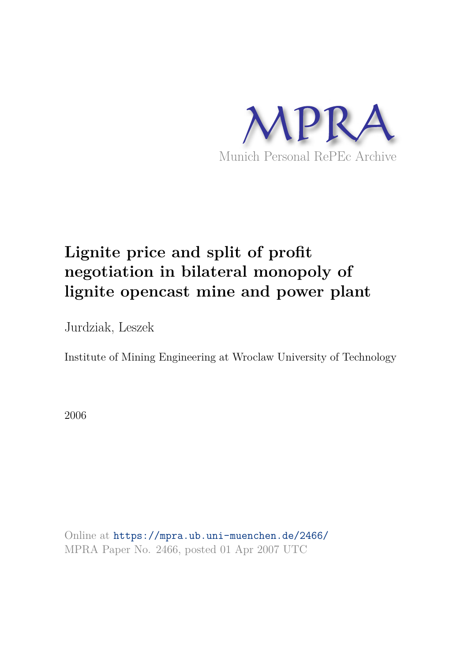

# **Lignite price and split of profit negotiation in bilateral monopoly of lignite opencast mine and power plant**

Jurdziak, Leszek

Institute of Mining Engineering at Wroclaw University of Technology

2006

Online at https://mpra.ub.uni-muenchen.de/2466/ MPRA Paper No. 2466, posted 01 Apr 2007 UTC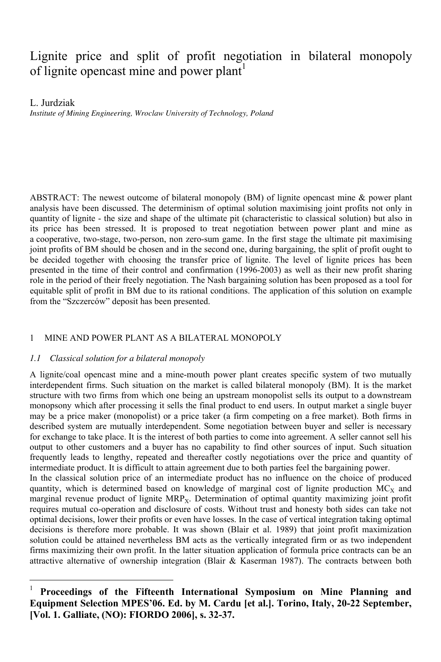# Lignite price and split of profit negotiation in bilateral monopoly of lignite opencast mine and power plant<sup>1</sup>

L. Jurdziak

 $\overline{a}$ 

*Institute of Mining Engineering, Wroclaw University of Technology, Poland* 

ABSTRACT: The newest outcome of bilateral monopoly (BM) of lignite opencast mine & power plant analysis have been discussed. The determinism of optimal solution maximising joint profits not only in quantity of lignite - the size and shape of the ultimate pit (characteristic to classical solution) but also in its price has been stressed. It is proposed to treat negotiation between power plant and mine as a cooperative, two-stage, two-person, non zero-sum game. In the first stage the ultimate pit maximising joint profits of BM should be chosen and in the second one, during bargaining, the split of profit ought to be decided together with choosing the transfer price of lignite. The level of lignite prices has been presented in the time of their control and confirmation (1996-2003) as well as their new profit sharing role in the period of their freely negotiation. The Nash bargaining solution has been proposed as a tool for equitable split of profit in BM due to its rational conditions. The application of this solution on example from the "Szczerców" deposit has been presented.

#### 1 MINE AND POWER PLANT AS A BILATERAL MONOPOLY

#### *1.1 Classical solution for a bilateral monopoly*

A lignite/coal opencast mine and a mine-mouth power plant creates specific system of two mutually interdependent firms. Such situation on the market is called bilateral monopoly (BM). It is the market structure with two firms from which one being an upstream monopolist sells its output to a downstream monopsony which after processing it sells the final product to end users. In output market a single buyer may be a price maker (monopolist) or a price taker (a firm competing on a free market). Both firms in described system are mutually interdependent. Some negotiation between buyer and seller is necessary for exchange to take place. It is the interest of both parties to come into agreement. A seller cannot sell his output to other customers and a buyer has no capability to find other sources of input. Such situation frequently leads to lengthy, repeated and thereafter costly negotiations over the price and quantity of intermediate product. It is difficult to attain agreement due to both parties feel the bargaining power. In the classical solution price of an intermediate product has no influence on the choice of produced quantity, which is determined based on knowledge of marginal cost of lignite production  $MC_x$  and marginal revenue product of lignite MRP<sub>x</sub>. Determination of optimal quantity maximizing joint profit

requires mutual co-operation and disclosure of costs. Without trust and honesty both sides can take not optimal decisions, lower their profits or even have losses. In the case of vertical integration taking optimal decisions is therefore more probable. It was shown (Blair et al. 1989) that joint profit maximization solution could be attained nevertheless BM acts as the vertically integrated firm or as two independent firms maximizing their own profit. In the latter situation application of formula price contracts can be an attractive alternative of ownership integration (Blair & Kaserman 1987). The contracts between both

<sup>1</sup> **Proceedings of the Fifteenth International Symposium on Mine Planning and Equipment Selection MPES'06. Ed. by M. Cardu [et al.]. Torino, Italy, 20-22 September, [Vol. 1. Galliate, (NO): FIORDO 2006], s. 32-37.**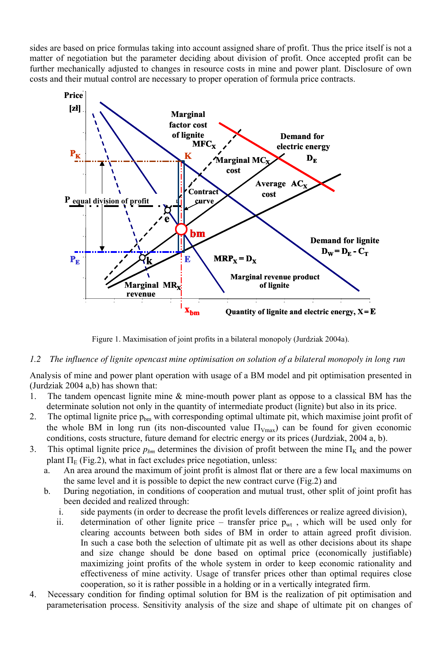sides are based on price formulas taking into account assigned share of profit. Thus the price itself is not a matter of negotiation but the parameter deciding about division of profit. Once accepted profit can be further mechanically adjusted to changes in resource costs in mine and power plant. Disclosure of own costs and their mutual control are necessary to proper operation of formula price contracts.



Figure 1. Maximisation of joint profits in a bilateral monopoly (Jurdziak 2004a).

#### *1.2 The influence of lignite opencast mine optimisation on solution of a bilateral monopoly in long run*

Analysis of mine and power plant operation with usage of a BM model and pit optimisation presented in (Jurdziak 2004 a,b) has shown that:

- 1. The tandem opencast lignite mine & mine-mouth power plant as oppose to a classical BM has the determinate solution not only in the quantity of intermediate product (lignite) but also in its price.
- 2. The optimal lignite price  $p_{bm}$  with corresponding optimal ultimate pit, which maximise joint profit of the whole BM in long run (its non-discounted value  $\Pi_{Vmax}$ ) can be found for given economic conditions, costs structure, future demand for electric energy or its prices (Jurdziak, 2004 a, b).
- 3. This optimal lignite price  $p_{bm}$  determines the division of profit between the mine  $\Pi_K$  and the power plant  $\Pi_E$  (Fig.2), what in fact excludes price negotiation, unless:<br>a. An area around the maximum of joint profit is almost flat of
	- An area around the maximum of joint profit is almost flat or there are a few local maximums on the same level and it is possible to depict the new contract curve (Fig.2) and
	- b. During negotiation, in conditions of cooperation and mutual trust, other split of joint profit has been decided and realized through:
		- i. side payments (in order to decrease the profit levels differences or realize agreed division),
		- ii. determination of other lignite price transfer price  $p_{wt}$ , which will be used only for clearing accounts between both sides of BM in order to attain agreed profit division. In such a case both the selection of ultimate pit as well as other decisions about its shape and size change should be done based on optimal price (economically justifiable) maximizing joint profits of the whole system in order to keep economic rationality and effectiveness of mine activity. Usage of transfer prices other than optimal requires close cooperation, so it is rather possible in a holding or in a vertically integrated firm.
- 4. Necessary condition for finding optimal solution for BM is the realization of pit optimisation and parameterisation process. Sensitivity analysis of the size and shape of ultimate pit on changes of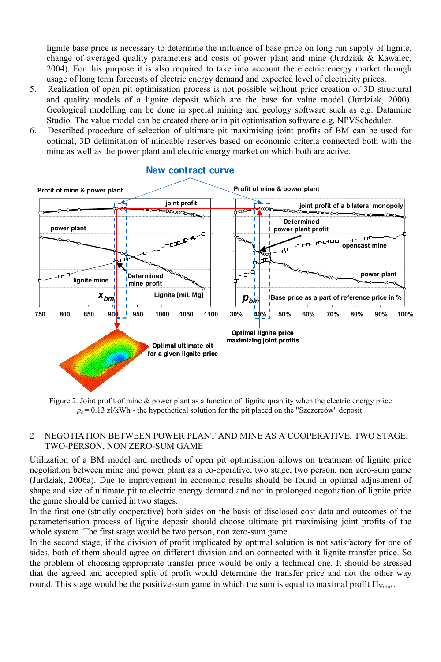lignite base price is necessary to determine the influence of base price on long run supply of lignite, change of averaged quality parameters and costs of power plant and mine (Jurdziak  $\&$  Kawalec, 2004). For this purpose it is also required to take into account the electric energy market through usage of long term forecasts of electric energy demand and expected level of electricity prices.

- 5. Realization of open pit optimisation process is not possible without prior creation of 3D structural and quality models of a lignite deposit which are the base for value model (Jurdziak, 2000). Geological modelling can be done in special mining and geology software such as e.g. Datamine Studio. The value model can be created there or in pit optimisation software e.g. NPVScheduler.
- 6. Described procedure of selection of ultimate pit maximising joint profits of BM can be used for optimal, 3D delimitation of mineable reserves based on economic criteria connected both with the mine as well as the power plant and electric energy market on which both are active.



#### **New contract curve**

Figure 2. Joint profit of mine & power plant as a function of lignite quantity when the electric energy price  $p_e$  = 0.13 zł/kWh - the hypothetical solution for the pit placed on the "Szczerców" deposit.

#### 2 NEGOTIATION BETWEEN POWER PLANT AND MINE AS A COOPERATIVE, TWO STAGE, TWO-PERSON, NON ZERO-SUM GAME

Utilization of a BM model and methods of open pit optimisation allows on treatment of lignite price negotiation between mine and power plant as a co-operative, two stage, two person, non zero-sum game (Jurdziak, 2006a). Due to improvement in economic results should be found in optimal adjustment of shape and size of ultimate pit to electric energy demand and not in prolonged negotiation of lignite price the game should be carried in two stages.

In the first one (strictly cooperative) both sides on the basis of disclosed cost data and outcomes of the parameterisation process of lignite deposit should choose ultimate pit maximising joint profits of the whole system. The first stage would be two person, non zero-sum game.

In the second stage, if the division of profit implicated by optimal solution is not satisfactory for one of sides, both of them should agree on different division and on connected with it lignite transfer price. So the problem of choosing appropriate transfer price would be only a technical one. It should be stressed that the agreed and accepted split of profit would determine the transfer price and not the other way round. This stage would be the positive-sum game in which the sum is equal to maximal profit  $\Pi_{V_{\text{max}}}$ .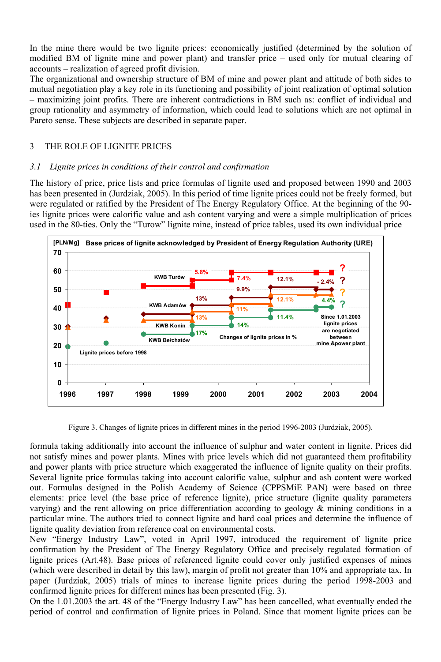In the mine there would be two lignite prices: economically justified (determined by the solution of modified BM of lignite mine and power plant) and transfer price – used only for mutual clearing of accounts – realization of agreed profit division.

The organizational and ownership structure of BM of mine and power plant and attitude of both sides to mutual negotiation play a key role in its functioning and possibility of joint realization of optimal solution – maximizing joint profits. There are inherent contradictions in BM such as: conflict of individual and group rationality and asymmetry of information, which could lead to solutions which are not optimal in Pareto sense. These subjects are described in separate paper.

### 3 THE ROLE OF LIGNITE PRICES

## *3.1 Lignite prices in conditions of their control and confirmation*

The history of price, price lists and price formulas of lignite used and proposed between 1990 and 2003 has been presented in (Jurdziak, 2005). In this period of time lignite prices could not be freely formed, but were regulated or ratified by the President of The Energy Regulatory Office. At the beginning of the 90 ies lignite prices were calorific value and ash content varying and were a simple multiplication of prices used in the 80-ties. Only the "Turow" lignite mine, instead of price tables, used its own individual price



Figure 3. Changes of lignite prices in different mines in the period 1996-2003 (Jurdziak, 2005).

formula taking additionally into account the influence of sulphur and water content in lignite. Prices did not satisfy mines and power plants. Mines with price levels which did not guaranteed them profitability and power plants with price structure which exaggerated the influence of lignite quality on their profits. Several lignite price formulas taking into account calorific value, sulphur and ash content were worked out. Formulas designed in the Polish Academy of Science (CPPSMiE PAN) were based on three elements: price level (the base price of reference lignite), price structure (lignite quality parameters varying) and the rent allowing on price differentiation according to geology  $\&$  mining conditions in a particular mine. The authors tried to connect lignite and hard coal prices and determine the influence of lignite quality deviation from reference coal on environmental costs.

New "Energy Industry Law", voted in April 1997, introduced the requirement of lignite price confirmation by the President of The Energy Regulatory Office and precisely regulated formation of lignite prices (Art.48). Base prices of referenced lignite could cover only justified expenses of mines (which were described in detail by this law), margin of profit not greater than 10% and appropriate tax. In paper (Jurdziak, 2005) trials of mines to increase lignite prices during the period 1998-2003 and confirmed lignite prices for different mines has been presented (Fig. 3).

On the 1.01.2003 the art. 48 of the "Energy Industry Law" has been cancelled, what eventually ended the period of control and confirmation of lignite prices in Poland. Since that moment lignite prices can be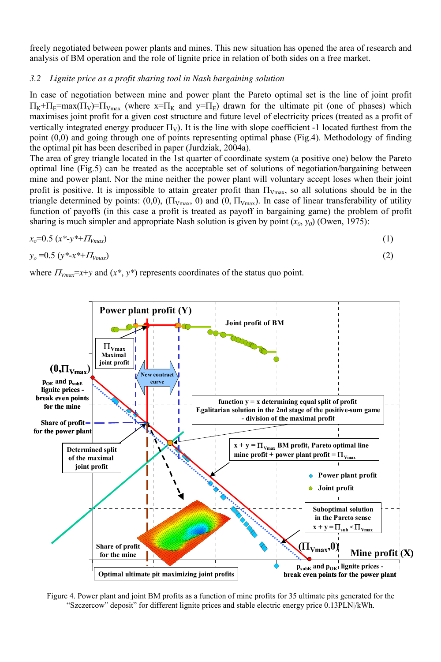freely negotiated between power plants and mines. This new situation has opened the area of research and analysis of BM operation and the role of lignite price in relation of both sides on a free market.

#### *3.2 Lignite price as a profit sharing tool in Nash bargaining solution*

In case of negotiation between mine and power plant the Pareto optimal set is the line of joint profit  $\Pi_K + \Pi_E = \max(\Pi_V) = \Pi_{V_{\text{max}}}$  (where  $x = \Pi_K$  and  $y = \Pi_E$ ) drawn for the ultimate pit (one of phases) which maximises joint profit for a given cost structure and future level of electricity prices (treated as a profit of vertically integrated energy producer  $\Pi_{V}$ ). It is the line with slope coefficient -1 located furthest from the point (0,0) and going through one of points representing optimal phase (Fig.4). Methodology of finding the optimal pit has been described in paper (Jurdziak, 2004a).

The area of grey triangle located in the 1st quarter of coordinate system (a positive one) below the Pareto optimal line (Fig.5) can be treated as the acceptable set of solutions of negotiation/bargaining between mine and power plant. Nor the mine neither the power plant will voluntary accept loses when their joint profit is positive. It is impossible to attain greater profit than  $\Pi_{Vmax}$ , so all solutions should be in the triangle determined by points:  $(0,0)$ ,  $(\Pi_{V_{\text{max}}}, 0)$  and  $(0, \Pi_{V_{\text{max}}})$ . In case of linear transferability of utility function of payoffs (in this case a profit is treated as payoff in bargaining game) the problem of profit sharing is much simpler and appropriate Nash solution is given by point  $(x_0, y_0)$  (Owen, 1975):

$$
x_o = 0.5 \, (x^* \cdot y^* + H_{Vmax}) \tag{1}
$$

$$
y_o = 0.5 \left( y^* \cdot x^{*+} H_{Vmax} \right) \tag{2}
$$

where  $\Pi_{V_{max}}=x+y$  and  $(x^*, y^*)$  represents coordinates of the status quo point.



Figure 4. Power plant and joint BM profits as a function of mine profits for 35 ultimate pits generated for the "Szczercow" deposit" for different lignite prices and stable electric energy price 0.13PLN|/kWh.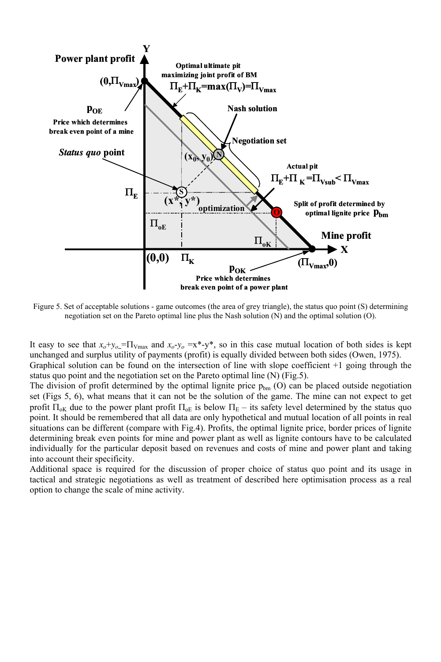

Figure 5. Set of acceptable solutions - game outcomes (the area of grey triangle), the status quo point (S) determining negotiation set on the Pareto optimal line plus the Nash solution (N) and the optimal solution (O).

It easy to see that  $x_o+y_o = \prod_{\text{Vmax}}$  and  $x_o-y_o = x^* - y^*$ , so in this case mutual location of both sides is kept unchanged and surplus utility of payments (profit) is equally divided between both sides (Owen, 1975). Graphical solution can be found on the intersection of line with slope coefficient +1 going through the status quo point and the negotiation set on the Pareto optimal line (N) (Fig.5).

The division of profit determined by the optimal lignite price  $p_{bm}$  (O) can be placed outside negotiation set (Figs 5, 6), what means that it can not be the solution of the game. The mine can not expect to get profit  $\Pi_{\rm ok}$  due to the power plant profit  $\Pi_{\rm ok}$  is below  $\Pi_{\rm E}$  – its safety level determined by the status quo point. It should be remembered that all data are only hypothetical and mutual location of all points in real situations can be different (compare with Fig.4). Profits, the optimal lignite price, border prices of lignite determining break even points for mine and power plant as well as lignite contours have to be calculated individually for the particular deposit based on revenues and costs of mine and power plant and taking into account their specificity.

Additional space is required for the discussion of proper choice of status quo point and its usage in tactical and strategic negotiations as well as treatment of described here optimisation process as a real option to change the scale of mine activity.